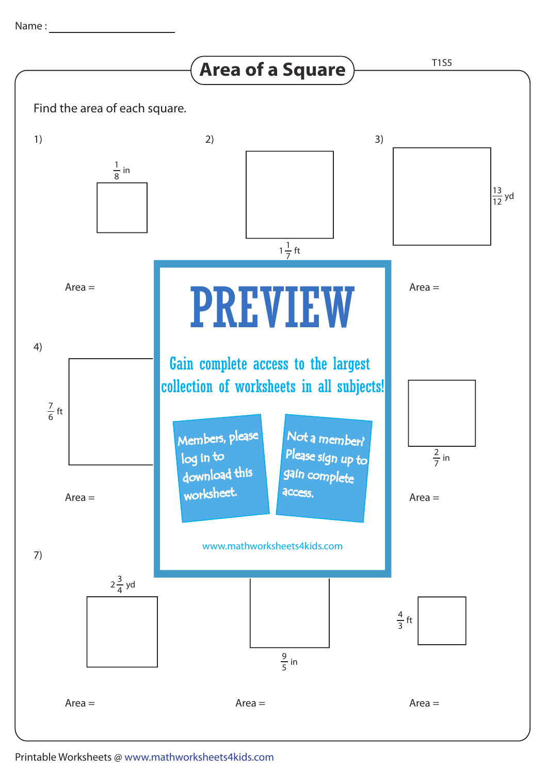